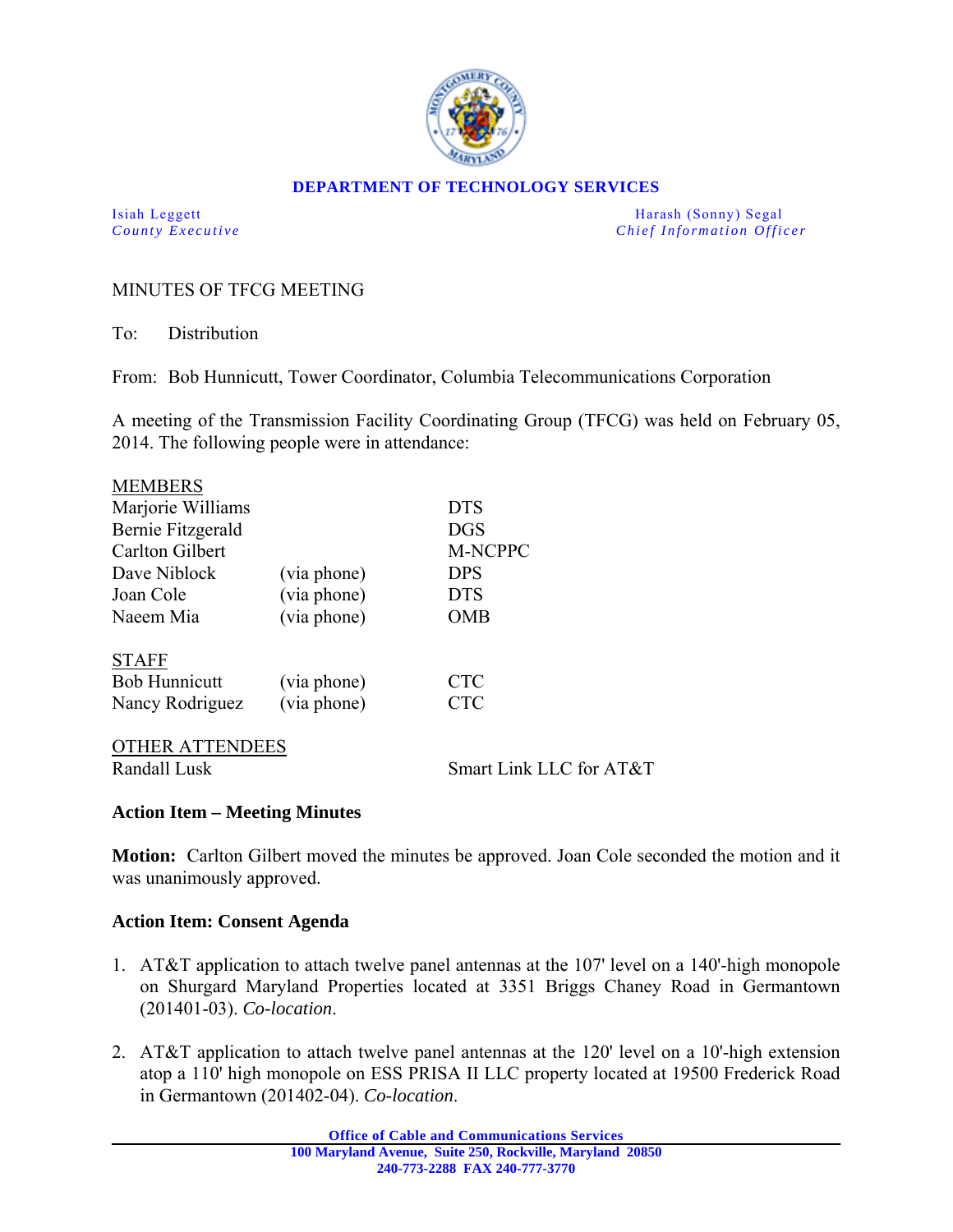

#### **DEPARTMENT OF TECHNOLOGY SERVICES**

Isiah Leggett Harash (Sonny) Segal *County Executive* **Country Executive Chief Information Officer** 

## MINUTES OF TFCG MEETING

To: Distribution

From: Bob Hunnicutt, Tower Coordinator, Columbia Telecommunications Corporation

A meeting of the Transmission Facility Coordinating Group (TFCG) was held on February 05, 2014. The following people were in attendance:

| <b>MEMBERS</b>       |             |            |  |
|----------------------|-------------|------------|--|
| Marjorie Williams    |             | <b>DTS</b> |  |
| Bernie Fitzgerald    |             | <b>DGS</b> |  |
| Carlton Gilbert      |             | M-NCPPC    |  |
| Dave Niblock         | (via phone) | <b>DPS</b> |  |
| Joan Cole            | (via phone) | <b>DTS</b> |  |
| Naeem Mia            | (via phone) | OMB        |  |
| <b>STAFF</b>         |             |            |  |
| <b>Bob Hunnicutt</b> | (via phone) | <b>CTC</b> |  |
| Nancy Rodriguez      | (via phone) | <b>CTC</b> |  |
| A TTENINEES<br>ATUED |             |            |  |

OTHER ATTENDEES Randall Lusk Smart Link LLC for AT&T

#### **Action Item – Meeting Minutes**

**Motion:** Carlton Gilbert moved the minutes be approved. Joan Cole seconded the motion and it was unanimously approved.

### **Action Item: Consent Agenda**

- 1. AT&T application to attach twelve panel antennas at the 107' level on a 140'-high monopole on Shurgard Maryland Properties located at 3351 Briggs Chaney Road in Germantown (201401-03). *Co-location*.
- 2. AT&T application to attach twelve panel antennas at the 120' level on a 10'-high extension atop a 110' high monopole on ESS PRISA II LLC property located at 19500 Frederick Road in Germantown (201402-04). *Co-location*.

**Office of Cable and Communications Services 100 Maryland Avenue, Suite 250, Rockville, Maryland 20850 240-773-2288 FAX 240-777-3770**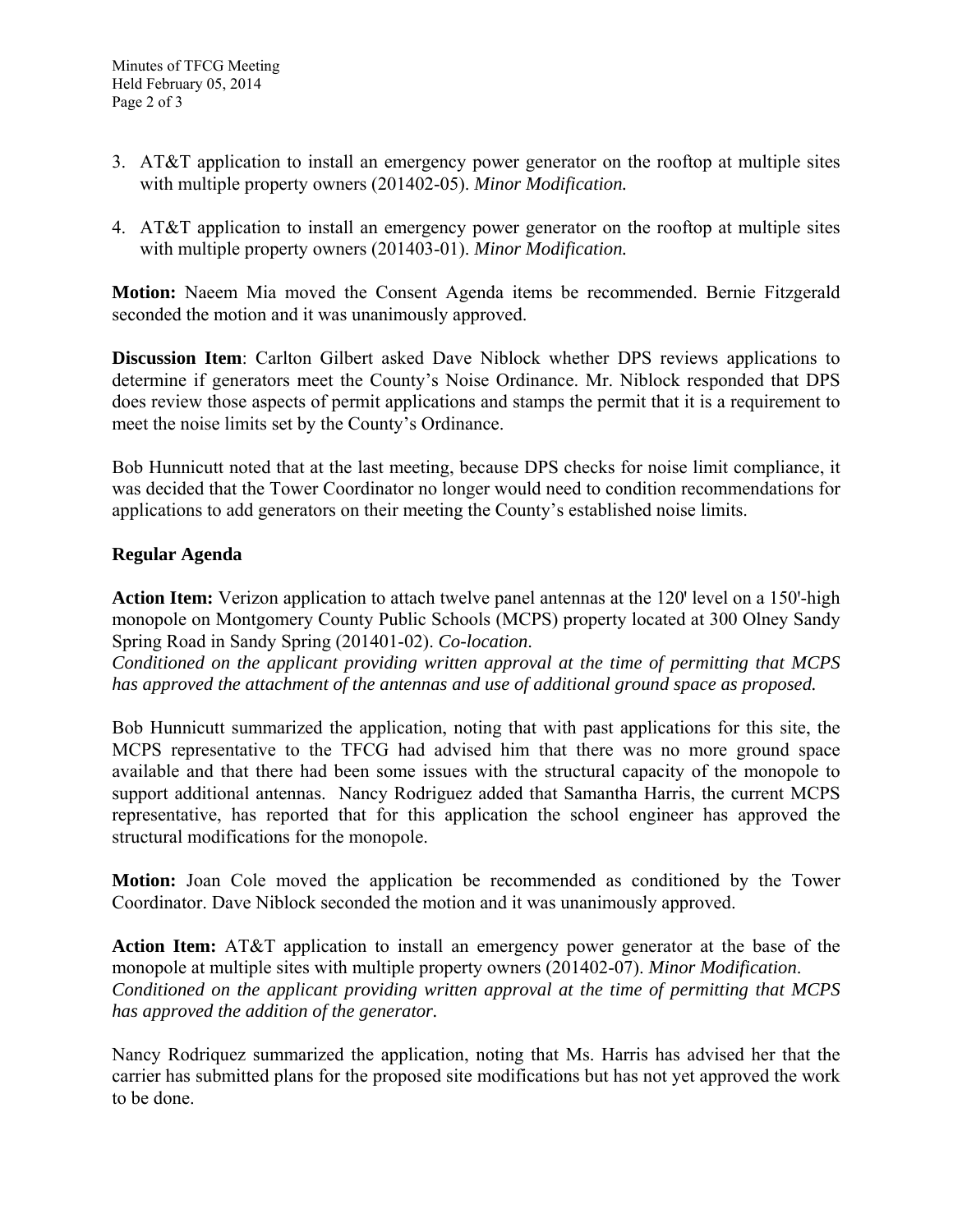- 3. AT&T application to install an emergency power generator on the rooftop at multiple sites with multiple property owners (201402-05). *Minor Modification.*
- 4. AT&T application to install an emergency power generator on the rooftop at multiple sites with multiple property owners (201403-01). *Minor Modification.*

**Motion:** Naeem Mia moved the Consent Agenda items be recommended. Bernie Fitzgerald seconded the motion and it was unanimously approved.

**Discussion Item**: Carlton Gilbert asked Dave Niblock whether DPS reviews applications to determine if generators meet the County's Noise Ordinance. Mr. Niblock responded that DPS does review those aspects of permit applications and stamps the permit that it is a requirement to meet the noise limits set by the County's Ordinance.

Bob Hunnicutt noted that at the last meeting, because DPS checks for noise limit compliance, it was decided that the Tower Coordinator no longer would need to condition recommendations for applications to add generators on their meeting the County's established noise limits.

# **Regular Agenda**

**Action Item:** Verizon application to attach twelve panel antennas at the 120' level on a 150'-high monopole on Montgomery County Public Schools (MCPS) property located at 300 Olney Sandy Spring Road in Sandy Spring (201401-02). *Co-location*.

*Conditioned on the applicant providing written approval at the time of permitting that MCPS has approved the attachment of the antennas and use of additional ground space as proposed.* 

Bob Hunnicutt summarized the application, noting that with past applications for this site, the MCPS representative to the TFCG had advised him that there was no more ground space available and that there had been some issues with the structural capacity of the monopole to support additional antennas. Nancy Rodriguez added that Samantha Harris, the current MCPS representative, has reported that for this application the school engineer has approved the structural modifications for the monopole.

**Motion:** Joan Cole moved the application be recommended as conditioned by the Tower Coordinator. Dave Niblock seconded the motion and it was unanimously approved.

**Action Item:** AT&T application to install an emergency power generator at the base of the monopole at multiple sites with multiple property owners (201402-07). *Minor Modification*. *Conditioned on the applicant providing written approval at the time of permitting that MCPS has approved the addition of the generator.* 

Nancy Rodriquez summarized the application, noting that Ms. Harris has advised her that the carrier has submitted plans for the proposed site modifications but has not yet approved the work to be done.